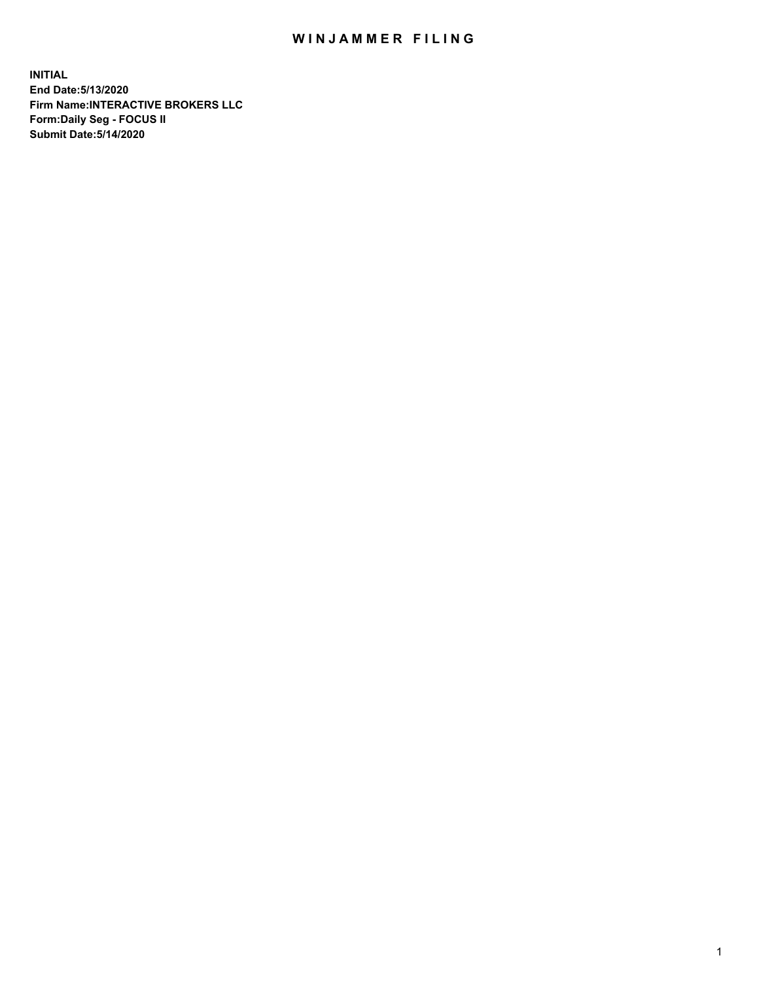## WIN JAMMER FILING

**INITIAL End Date:5/13/2020 Firm Name:INTERACTIVE BROKERS LLC Form:Daily Seg - FOCUS II Submit Date:5/14/2020**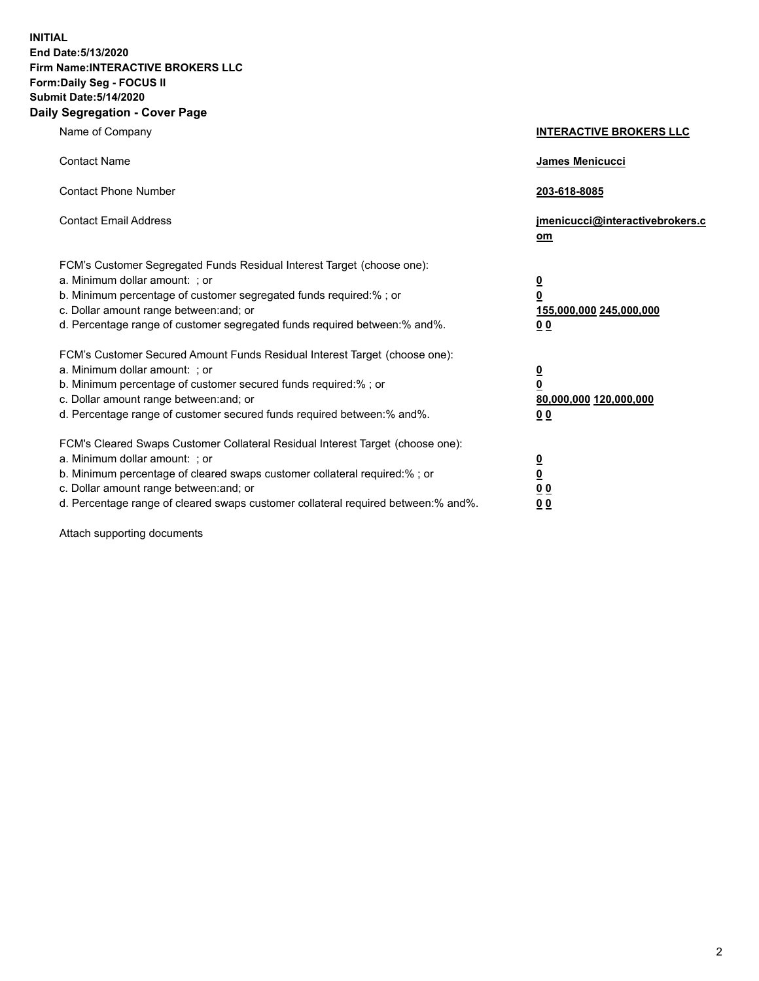**INITIAL End Date:5/13/2020 Firm Name:INTERACTIVE BROKERS LLC Form:Daily Seg - FOCUS II Submit Date:5/14/2020 Daily Segregation - Cover Page**

| Name of Company                                                                                                                                                                                                                                                                                                                | <b>INTERACTIVE BROKERS LLC</b>                                                   |  |
|--------------------------------------------------------------------------------------------------------------------------------------------------------------------------------------------------------------------------------------------------------------------------------------------------------------------------------|----------------------------------------------------------------------------------|--|
| <b>Contact Name</b>                                                                                                                                                                                                                                                                                                            | James Menicucci                                                                  |  |
| <b>Contact Phone Number</b>                                                                                                                                                                                                                                                                                                    | 203-618-8085                                                                     |  |
| <b>Contact Email Address</b>                                                                                                                                                                                                                                                                                                   | jmenicucci@interactivebrokers.c<br>om                                            |  |
| FCM's Customer Segregated Funds Residual Interest Target (choose one):<br>a. Minimum dollar amount: ; or<br>b. Minimum percentage of customer segregated funds required:% ; or<br>c. Dollar amount range between: and; or<br>d. Percentage range of customer segregated funds required between:% and%.                         | <u>0</u><br>$\overline{\mathbf{0}}$<br>155,000,000 245,000,000<br>0 <sub>0</sub> |  |
| FCM's Customer Secured Amount Funds Residual Interest Target (choose one):<br>a. Minimum dollar amount: ; or<br>b. Minimum percentage of customer secured funds required:% ; or<br>c. Dollar amount range between: and; or<br>d. Percentage range of customer secured funds required between:% and%.                           | <u>0</u><br>$\overline{\mathbf{0}}$<br>80,000,000 120,000,000<br>0 <sub>0</sub>  |  |
| FCM's Cleared Swaps Customer Collateral Residual Interest Target (choose one):<br>a. Minimum dollar amount: ; or<br>b. Minimum percentage of cleared swaps customer collateral required:% ; or<br>c. Dollar amount range between: and; or<br>d. Percentage range of cleared swaps customer collateral required between:% and%. | <u>0</u><br>$\underline{\mathbf{0}}$<br>0 <sub>0</sub><br>0 <sub>0</sub>         |  |

Attach supporting documents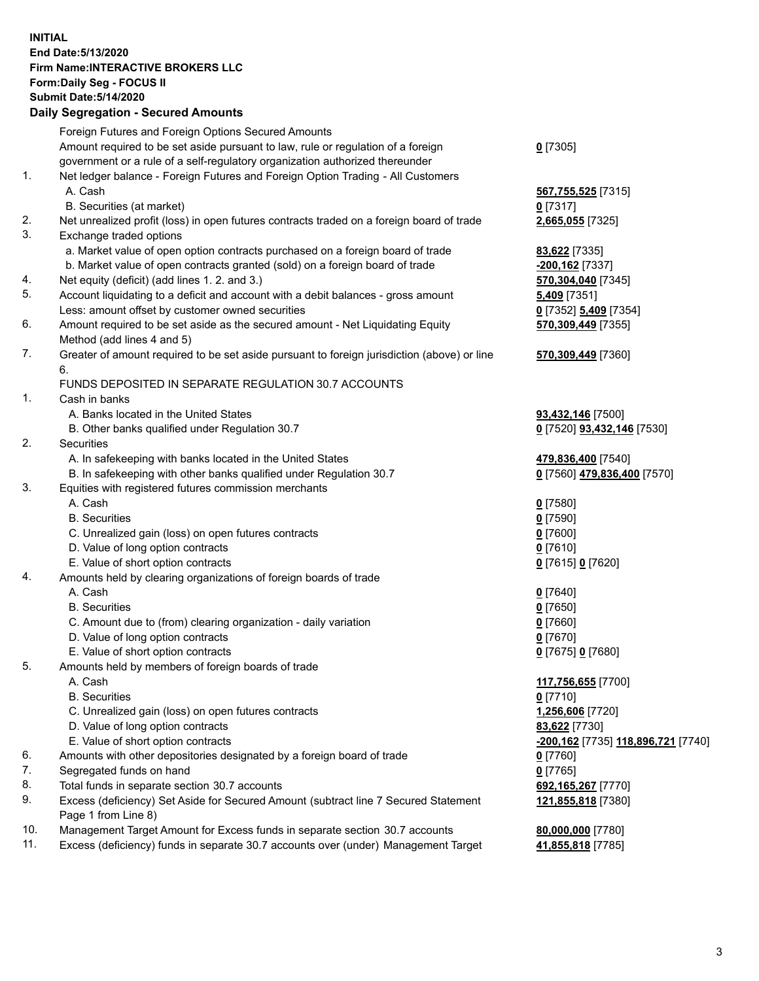**INITIAL End Date:5/13/2020 Firm Name:INTERACTIVE BROKERS LLC Form:Daily Seg - FOCUS II Submit Date:5/14/2020 Daily Segregation - Secured Amounts**

## Foreign Futures and Foreign Options Secured Amounts Amount required to be set aside pursuant to law, rule or regulation of a foreign government or a rule of a self-regulatory organization authorized thereunder **0** [7305] 1. Net ledger balance - Foreign Futures and Foreign Option Trading - All Customers A. Cash **567,755,525** [7315] B. Securities (at market) **0** [7317] 2. Net unrealized profit (loss) in open futures contracts traded on a foreign board of trade **2,665,055** [7325] 3. Exchange traded options a. Market value of open option contracts purchased on a foreign board of trade **83,622** [7335] b. Market value of open contracts granted (sold) on a foreign board of trade **-200,162** [7337] 4. Net equity (deficit) (add lines 1. 2. and 3.) **570,304,040** [7345] 5. Account liquidating to a deficit and account with a debit balances - gross amount **5,409** [7351] Less: amount offset by customer owned securities **0** [7352] **5,409** [7354] 6. Amount required to be set aside as the secured amount - Net Liquidating Equity Method (add lines 4 and 5) **570,309,449** [7355] 7. Greater of amount required to be set aside pursuant to foreign jurisdiction (above) or line 6. **570,309,449** [7360] FUNDS DEPOSITED IN SEPARATE REGULATION 30.7 ACCOUNTS 1. Cash in banks A. Banks located in the United States **93,432,146** [7500] B. Other banks qualified under Regulation 30.7 **0** [7520] **93,432,146** [7530] 2. Securities A. In safekeeping with banks located in the United States **479,836,400** [7540] B. In safekeeping with other banks qualified under Regulation 30.7 **0** [7560] **479,836,400** [7570] 3. Equities with registered futures commission merchants A. Cash **0** [7580] B. Securities **0** [7590] C. Unrealized gain (loss) on open futures contracts **0** [7600] D. Value of long option contracts **0** [7610] E. Value of short option contracts **0** [7615] **0** [7620] 4. Amounts held by clearing organizations of foreign boards of trade A. Cash **0** [7640] B. Securities **0** [7650] C. Amount due to (from) clearing organization - daily variation **0** [7660] D. Value of long option contracts **0** [7670] E. Value of short option contracts **0** [7675] **0** [7680] 5. Amounts held by members of foreign boards of trade A. Cash **117,756,655** [7700] B. Securities **0** [7710] C. Unrealized gain (loss) on open futures contracts **1,256,606** [7720] D. Value of long option contracts **83,622** [7730] E. Value of short option contracts **-200,162** [7735] **118,896,721** [7740] 6. Amounts with other depositories designated by a foreign board of trade **0** [7760] 7. Segregated funds on hand **0** [7765] 8. Total funds in separate section 30.7 accounts **692,165,267** [7770] 9. Excess (deficiency) Set Aside for Secured Amount (subtract line 7 Secured Statement Page 1 from Line 8) **121,855,818** [7380] 10. Management Target Amount for Excess funds in separate section 30.7 accounts **80,000,000** [7780] 11. Excess (deficiency) funds in separate 30.7 accounts over (under) Management Target **41,855,818** [7785]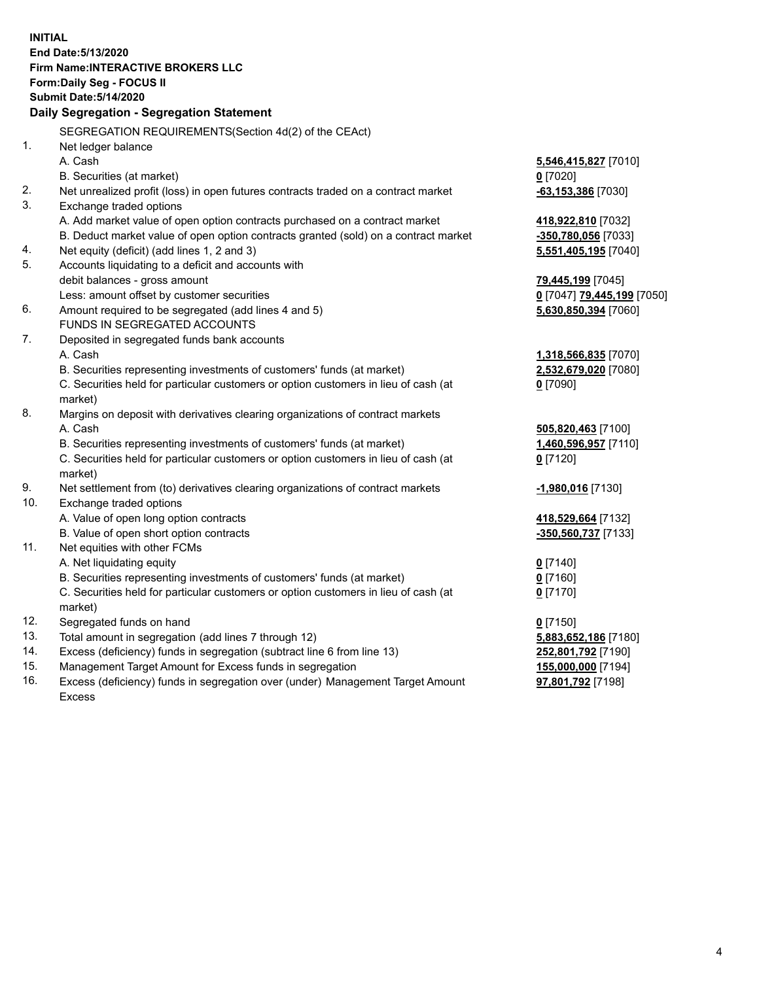**INITIAL End Date:5/13/2020 Firm Name:INTERACTIVE BROKERS LLC Form:Daily Seg - FOCUS II Submit Date:5/14/2020 Daily Segregation - Segregation Statement** SEGREGATION REQUIREMENTS(Section 4d(2) of the CEAct) 1. Net ledger balance A. Cash **5,546,415,827** [7010] B. Securities (at market) **0** [7020] 2. Net unrealized profit (loss) in open futures contracts traded on a contract market **-63,153,386** [7030] 3. Exchange traded options A. Add market value of open option contracts purchased on a contract market **418,922,810** [7032] B. Deduct market value of open option contracts granted (sold) on a contract market **-350,780,056** [7033] 4. Net equity (deficit) (add lines 1, 2 and 3) **5,551,405,195** [7040] 5. Accounts liquidating to a deficit and accounts with debit balances - gross amount **79,445,199** [7045] Less: amount offset by customer securities **0** [7047] **79,445,199** [7050] 6. Amount required to be segregated (add lines 4 and 5) **5,630,850,394** [7060] FUNDS IN SEGREGATED ACCOUNTS 7. Deposited in segregated funds bank accounts A. Cash **1,318,566,835** [7070] B. Securities representing investments of customers' funds (at market) **2,532,679,020** [7080] C. Securities held for particular customers or option customers in lieu of cash (at market) **0** [7090] 8. Margins on deposit with derivatives clearing organizations of contract markets A. Cash **505,820,463** [7100] B. Securities representing investments of customers' funds (at market) **1,460,596,957** [7110] C. Securities held for particular customers or option customers in lieu of cash (at market) **0** [7120] 9. Net settlement from (to) derivatives clearing organizations of contract markets **-1,980,016** [7130] 10. Exchange traded options A. Value of open long option contracts **418,529,664** [7132] B. Value of open short option contracts **-350,560,737** [7133] 11. Net equities with other FCMs A. Net liquidating equity **0** [7140] B. Securities representing investments of customers' funds (at market) **0** [7160] C. Securities held for particular customers or option customers in lieu of cash (at market) **0** [7170] 12. Segregated funds on hand **0** [7150] 13. Total amount in segregation (add lines 7 through 12) **5,883,652,186** [7180] 14. Excess (deficiency) funds in segregation (subtract line 6 from line 13) **252,801,792** [7190] 15. Management Target Amount for Excess funds in segregation **155,000,000** [7194]

16. Excess (deficiency) funds in segregation over (under) Management Target Amount Excess

**97,801,792** [7198]